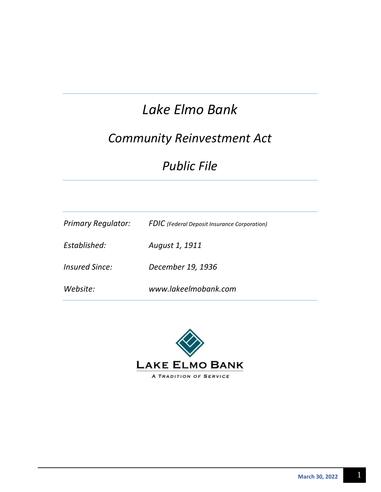# *Lake Elmo Bank*

## *Community Reinvestment Act*

## *Public File*

| <b>Primary Regulator:</b> | <b>FDIC</b> (Federal Deposit Insurance Corporation) |
|---------------------------|-----------------------------------------------------|
| Established:              | August 1, 1911                                      |
| Insured Since:            | December 19, 1936                                   |
| Website:                  | www.lakeelmobank.com                                |

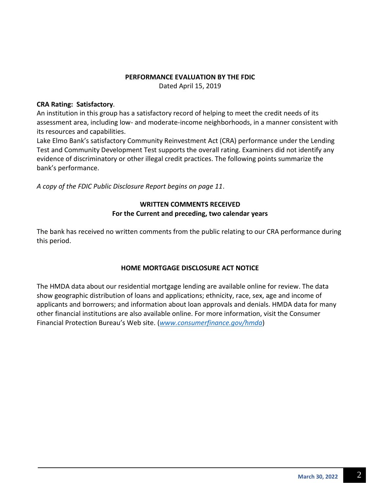#### **PERFORMANCE EVALUATION BY THE FDIC**

Dated April 15, 2019

#### **CRA Rating: Satisfactory**.

An institution in this group has a satisfactory record of helping to meet the credit needs of its assessment area, including low- and moderate-income neighborhoods, in a manner consistent with its resources and capabilities.

Lake Elmo Bank's satisfactory Community Reinvestment Act (CRA) performance under the Lending Test and Community Development Test supports the overall rating. Examiners did not identify any evidence of discriminatory or other illegal credit practices. The following points summarize the bank's performance.

*A copy of the FDIC Public Disclosure Report begins on page 11*.

#### **WRITTEN COMMENTS RECEIVED For the Current and preceding, two calendar years**

The bank has received no written comments from the public relating to our CRA performance during this period.

#### **HOME MORTGAGE DISCLOSURE ACT NOTICE**

The HMDA data about our residential mortgage lending are available online for review. The data show geographic distribution of loans and applications; ethnicity, race, sex, age and income of applicants and borrowers; and information about loan approvals and denials. HMDA data for many other financial institutions are also available online. For more information, visit the Consumer Financial Protection Bureau's Web site. (*[www.consumerfinance.gov/hmda](http://www.consumerfinance.gov/hmda)*)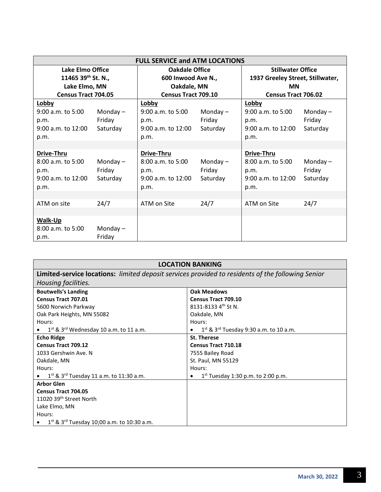| <b>FULL SERVICE and ATM LOCATIONS</b> |            |                            |            |                                  |            |
|---------------------------------------|------------|----------------------------|------------|----------------------------------|------------|
| Lake Elmo Office                      |            | <b>Oakdale Office</b>      |            | <b>Stillwater Office</b>         |            |
| 11465 39 <sup>th</sup> St. N.,        |            | 600 Inwood Ave N.,         |            | 1937 Greeley Street, Stillwater, |            |
| Lake Elmo, MN                         |            | Oakdale, MN                |            | <b>MN</b>                        |            |
| <b>Census Tract 704.05</b>            |            | <b>Census Tract 709.10</b> |            | <b>Census Tract 706.02</b>       |            |
| Lobby                                 |            | Lobby                      |            | Lobby                            |            |
| 9:00 a.m. to 5:00                     | Monday $-$ | 9:00 a.m. to 5:00          | Monday $-$ | 9:00 a.m. to 5:00                | Monday $-$ |
| p.m.                                  | Friday     | p.m.                       | Friday     | p.m.                             | Friday     |
| 9:00 a.m. to 12:00                    | Saturday   | 9:00 a.m. to 12:00         | Saturday   | 9:00 a.m. to 12:00               | Saturday   |
| p.m.                                  |            | p.m.                       |            | p.m.                             |            |
|                                       |            |                            |            |                                  |            |
| Drive-Thru                            |            | Drive-Thru                 |            | Drive-Thru                       |            |
| $8:00$ a.m. to 5:00                   | Monday $-$ | 8:00 a.m. to 5:00          | Monday $-$ | 8:00 a.m. to 5:00                | Monday $-$ |
| p.m.                                  | Friday     | p.m.                       | Friday     | p.m.                             | Friday     |
| 9:00 a.m. to 12:00                    | Saturday   | 9:00 a.m. to 12:00         | Saturday   | 9:00 a.m. to 12:00               | Saturday   |
| p.m.                                  |            | p.m.                       |            | p.m.                             |            |
|                                       |            |                            |            |                                  |            |
| ATM on site                           | 24/7       | ATM on Site                | 24/7       | ATM on Site                      | 24/7       |
|                                       |            |                            |            |                                  |            |
| <b>Walk-Up</b>                        |            |                            |            |                                  |            |
| 8:00 a.m. to 5:00                     | Monday $-$ |                            |            |                                  |            |
| p.m.                                  | Friday     |                            |            |                                  |            |

| <b>LOCATION BANKING</b>                                                                           |                                                               |  |  |
|---------------------------------------------------------------------------------------------------|---------------------------------------------------------------|--|--|
| Limited-service locations: limited deposit services provided to residents of the following Senior |                                                               |  |  |
| Housing facilities.                                                                               |                                                               |  |  |
| <b>Boutwells's Landing</b>                                                                        | <b>Oak Meadows</b>                                            |  |  |
| Census Tract 707.01                                                                               | <b>Census Tract 709.10</b>                                    |  |  |
| 5600 Norwich Parkway                                                                              | 8131-8133 4 <sup>th</sup> St N.                               |  |  |
| Oak Park Heights, MN 55082                                                                        | Oakdale, MN                                                   |  |  |
| Hours:                                                                                            | Hours:                                                        |  |  |
| $1st$ & 3 <sup>rd</sup> Wednesday 10 a.m. to 11 a.m.                                              | $1^{st}$ & $3^{rd}$ Tuesday 9:30 a.m. to 10 a.m.<br>$\bullet$ |  |  |
| <b>Echo Ridge</b>                                                                                 | <b>St. Therese</b>                                            |  |  |
| <b>Census Tract 709.12</b>                                                                        | <b>Census Tract 710.18</b>                                    |  |  |
| 1033 Gershwin Ave. N                                                                              | 7555 Bailey Road                                              |  |  |
| Oakdale, MN                                                                                       | St. Paul, MN 55129                                            |  |  |
| Hours:                                                                                            | Hours:                                                        |  |  |
| $1^{st}$ & $3^{rd}$ Tuesday 11 a.m. to 11:30 a.m.                                                 | $1^{st}$ Tuesday 1:30 p.m. to 2:00 p.m.                       |  |  |
| <b>Arbor Glen</b>                                                                                 |                                                               |  |  |
| <b>Census Tract 704.05</b>                                                                        |                                                               |  |  |
| 11020 39 <sup>th</sup> Street North                                                               |                                                               |  |  |
| Lake Elmo, MN                                                                                     |                                                               |  |  |
| Hours:                                                                                            |                                                               |  |  |
| $1^{st}$ & $3^{rd}$ Tuesday 10;00 a.m. to 10:30 a.m.                                              |                                                               |  |  |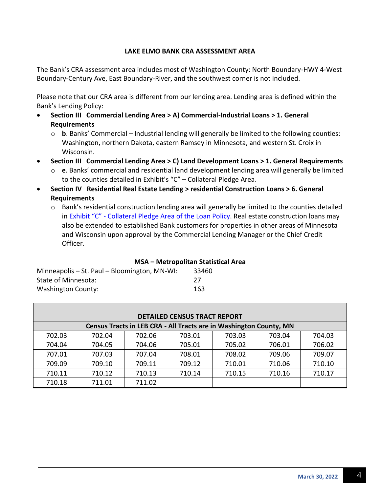#### **LAKE ELMO BANK CRA ASSESSMENT AREA**

The Bank's CRA assessment area includes most of Washington County: North Boundary-HWY 4-West Boundary-Century Ave, East Boundary-River, and the southwest corner is not included.

Please note that our CRA area is different from our lending area. Lending area is defined within the Bank's Lending Policy:

- **Section III Commercial Lending Area > A) Commercial-Industrial Loans > 1. General Requirements**
	- $\circ$  **b**. Banks' Commercial Industrial lending will generally be limited to the following counties: Washington, northern Dakota, eastern Ramsey in Minnesota, and western St. Croix in Wisconsin.
- **Section III Commercial Lending Area > C) Land Development Loans > 1. General Requirements**
	- o **e**. Banks' commercial and residential land development lending area will generally be limited to the counties detailed in Exhibit's "C" – Collateral Pledge Area.
- **Section IV Residential Real Estate Lending > residential Construction Loans > 6. General Requirements**
	- o Bank's residential construction lending area will generally be limited to the counties detailed in Exhibit "C" - Collateral Pledge Area of the Loan Policy. Real estate construction loans may also be extended to established Bank customers for properties in other areas of Minnesota and Wisconsin upon approval by the Commercial Lending Manager or the Chief Credit Officer.

#### **MSA – Metropolitan Statistical Area**

| Minneapolis – St. Paul – Bloomington, MN-WI: | 33460 |
|----------------------------------------------|-------|
| State of Minnesota:                          | -27   |
| Washington County:                           | 163   |

| <b>DETAILED CENSUS TRACT REPORT</b> |        |        |        |                                                                    |        |        |
|-------------------------------------|--------|--------|--------|--------------------------------------------------------------------|--------|--------|
|                                     |        |        |        | Census Tracts in LEB CRA - All Tracts are in Washington County, MN |        |        |
| 702.03                              | 702.04 | 702.06 | 703.01 | 703.03                                                             | 703.04 | 704.03 |
| 704.04                              | 704.05 | 704.06 | 705.01 | 705.02                                                             | 706.01 | 706.02 |
| 707.01                              | 707.03 | 707.04 | 708.01 | 708.02                                                             | 709.06 | 709.07 |
| 709.09                              | 709.10 | 709.11 | 709.12 | 710.01                                                             | 710.06 | 710.10 |
| 710.11                              | 710.12 | 710.13 | 710.14 | 710.15                                                             | 710.16 | 710.17 |
| 710.18                              | 711.01 | 711.02 |        |                                                                    |        |        |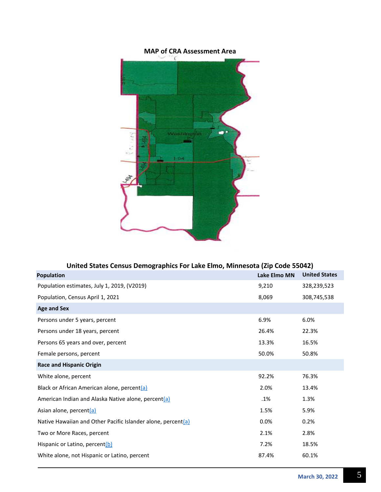

#### **United States Census Demographics For Lake Elmo, Minnesota (Zip Code 55042)**

| <b>Population</b>                                               | <b>Lake Elmo MN</b> | <b>United States</b> |
|-----------------------------------------------------------------|---------------------|----------------------|
| Population estimates, July 1, 2019, (V2019)                     | 9,210               | 328,239,523          |
| Population, Census April 1, 2021                                | 8,069               | 308,745,538          |
| <b>Age and Sex</b>                                              |                     |                      |
| Persons under 5 years, percent                                  | 6.9%                | 6.0%                 |
| Persons under 18 years, percent                                 | 26.4%               | 22.3%                |
| Persons 65 years and over, percent                              | 13.3%               | 16.5%                |
| Female persons, percent                                         | 50.0%               | 50.8%                |
| <b>Race and Hispanic Origin</b>                                 |                     |                      |
| White alone, percent                                            | 92.2%               | 76.3%                |
| Black or African American alone, percent(a)                     | 2.0%                | 13.4%                |
| American Indian and Alaska Native alone, percent(a)             | .1%                 | 1.3%                 |
| Asian alone, percent(a)                                         | 1.5%                | 5.9%                 |
| Native Hawaiian and Other Pacific Islander alone, percent $(a)$ | 0.0%                | 0.2%                 |
| Two or More Races, percent                                      | 2.1%                | 2.8%                 |
| Hispanic or Latino, percent(b)                                  | 7.2%                | 18.5%                |
| White alone, not Hispanic or Latino, percent                    | 87.4%               | 60.1%                |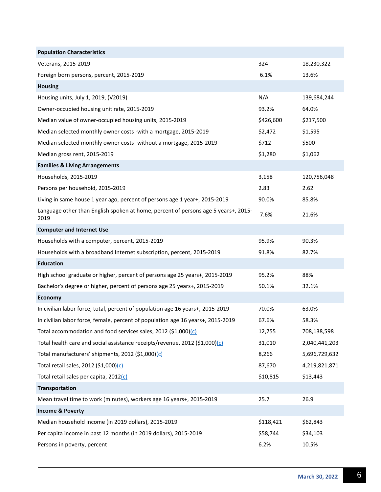| <b>Population Characteristics</b>                                                          |           |               |
|--------------------------------------------------------------------------------------------|-----------|---------------|
| Veterans, 2015-2019                                                                        | 324       | 18,230,322    |
| Foreign born persons, percent, 2015-2019                                                   | 6.1%      | 13.6%         |
| <b>Housing</b>                                                                             |           |               |
| Housing units, July 1, 2019, (V2019)                                                       | N/A       | 139,684,244   |
| Owner-occupied housing unit rate, 2015-2019                                                | 93.2%     | 64.0%         |
| Median value of owner-occupied housing units, 2015-2019                                    | \$426,600 | \$217,500     |
| Median selected monthly owner costs -with a mortgage, 2015-2019                            | \$2,472   | \$1,595       |
| Median selected monthly owner costs -without a mortgage, 2015-2019                         | \$712     | \$500         |
| Median gross rent, 2015-2019                                                               | \$1,280   | \$1,062       |
| <b>Families &amp; Living Arrangements</b>                                                  |           |               |
| Households, 2015-2019                                                                      | 3,158     | 120,756,048   |
| Persons per household, 2015-2019                                                           | 2.83      | 2.62          |
| Living in same house 1 year ago, percent of persons age 1 year+, 2015-2019                 | 90.0%     | 85.8%         |
| Language other than English spoken at home, percent of persons age 5 years+, 2015-<br>2019 | 7.6%      | 21.6%         |
| <b>Computer and Internet Use</b>                                                           |           |               |
| Households with a computer, percent, 2015-2019                                             | 95.9%     | 90.3%         |
| Households with a broadband Internet subscription, percent, 2015-2019                      | 91.8%     | 82.7%         |
| <b>Education</b>                                                                           |           |               |
| High school graduate or higher, percent of persons age 25 years+, 2015-2019                | 95.2%     | 88%           |
| Bachelor's degree or higher, percent of persons age 25 years+, 2015-2019                   | 50.1%     | 32.1%         |
| Economy                                                                                    |           |               |
| In civilian labor force, total, percent of population age 16 years+, 2015-2019             | 70.0%     | 63.0%         |
| In civilian labor force, female, percent of population age 16 years+, 2015-2019            | 67.6%     | 58.3%         |
| Total accommodation and food services sales, 2012 (\$1,000)(c)                             | 12,755    | 708,138,598   |
| Total health care and social assistance receipts/revenue, 2012 (\$1,000)(c)                | 31,010    | 2,040,441,203 |
| Total manufacturers' shipments, 2012 (\$1,000)(c)                                          | 8,266     | 5,696,729,632 |
| Total retail sales, 2012 (\$1,000)(c)                                                      | 87,670    | 4,219,821,871 |
| Total retail sales per capita, 2012(c)                                                     | \$10,815  | \$13,443      |
| <b>Transportation</b>                                                                      |           |               |
| Mean travel time to work (minutes), workers age 16 years+, 2015-2019                       | 25.7      | 26.9          |
| <b>Income &amp; Poverty</b>                                                                |           |               |
| Median household income (in 2019 dollars), 2015-2019                                       | \$118,421 | \$62,843      |
| Per capita income in past 12 months (in 2019 dollars), 2015-2019                           | \$58,744  | \$34,103      |
| Persons in poverty, percent                                                                | 6.2%      | 10.5%         |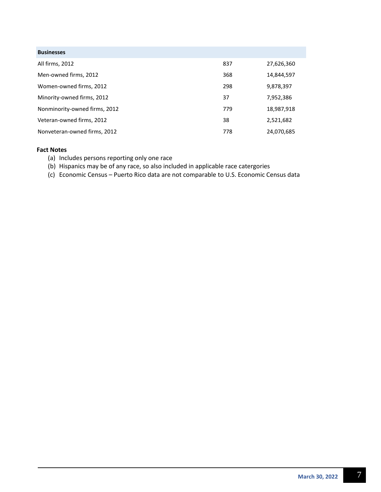| <b>Businesses</b>             |     |            |
|-------------------------------|-----|------------|
| All firms, 2012               | 837 | 27,626,360 |
| Men-owned firms, 2012         | 368 | 14,844,597 |
| Women-owned firms, 2012       | 298 | 9,878,397  |
| Minority-owned firms, 2012    | 37  | 7,952,386  |
| Nonminority-owned firms, 2012 | 779 | 18,987,918 |
| Veteran-owned firms, 2012     | 38  | 2,521,682  |
| Nonveteran-owned firms, 2012  | 778 | 24,070,685 |

#### **Fact Notes**

- (a) Includes persons reporting only one race
- (b) Hispanics may be of any race, so also included in applicable race catergories
- (c) Economic Census Puerto Rico data are not comparable to U.S. Economic Census data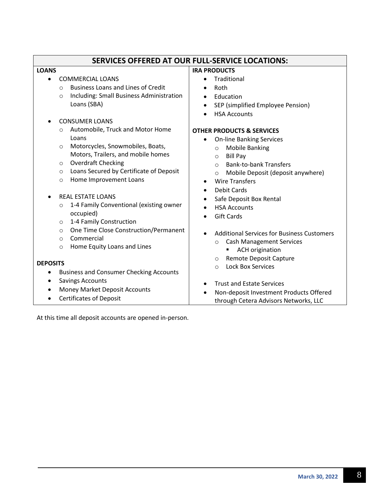| SERVICES OFFERED AT OUR FULL-SERVICE LOCATIONS:       |                                                              |  |  |
|-------------------------------------------------------|--------------------------------------------------------------|--|--|
| <b>LOANS</b>                                          | <b>IRA PRODUCTS</b>                                          |  |  |
| <b>COMMERCIAL LOANS</b><br>$\bullet$                  | Traditional                                                  |  |  |
| <b>Business Loans and Lines of Credit</b><br>$\Omega$ | Roth<br>$\bullet$                                            |  |  |
| Including: Small Business Administration<br>$\circ$   | Education<br>$\bullet$                                       |  |  |
| Loans (SBA)                                           | SEP (simplified Employee Pension)<br>$\bullet$               |  |  |
|                                                       | <b>HSA Accounts</b>                                          |  |  |
| <b>CONSUMER LOANS</b>                                 |                                                              |  |  |
| Automobile, Truck and Motor Home<br>$\circ$           | <b>OTHER PRODUCTS &amp; SERVICES</b>                         |  |  |
| Loans                                                 | <b>On-line Banking Services</b>                              |  |  |
| Motorcycles, Snowmobiles, Boats,<br>$\circ$           | <b>Mobile Banking</b><br>$\circ$                             |  |  |
| Motors, Trailers, and mobile homes                    | <b>Bill Pay</b><br>$\circ$                                   |  |  |
| <b>Overdraft Checking</b><br>O                        | <b>Bank-to-bank Transfers</b><br>$\Omega$                    |  |  |
| Loans Secured by Certificate of Deposit<br>$\circ$    | Mobile Deposit (deposit anywhere)<br>$\circ$                 |  |  |
| Home Improvement Loans<br>$\circ$                     | <b>Wire Transfers</b><br>$\bullet$                           |  |  |
| <b>REAL ESTATE LOANS</b>                              | <b>Debit Cards</b><br>$\bullet$                              |  |  |
| 1-4 Family Conventional (existing owner<br>$\circ$    | Safe Deposit Box Rental<br>$\bullet$                         |  |  |
| occupied)                                             | <b>HSA Accounts</b><br>$\bullet$                             |  |  |
| 1-4 Family Construction<br>$\circ$                    | <b>Gift Cards</b>                                            |  |  |
| One Time Close Construction/Permanent<br>$\circ$      |                                                              |  |  |
| Commercial<br>$\Omega$                                | <b>Additional Services for Business Customers</b>            |  |  |
| Home Equity Loans and Lines<br>$\circ$                | <b>Cash Management Services</b><br>$\circ$                   |  |  |
|                                                       | <b>ACH origination</b><br>٠<br><b>Remote Deposit Capture</b> |  |  |
| <b>DEPOSITS</b>                                       | O<br><b>Lock Box Services</b><br>$\circ$                     |  |  |
| <b>Business and Consumer Checking Accounts</b>        |                                                              |  |  |
| <b>Savings Accounts</b><br>$\bullet$                  | <b>Trust and Estate Services</b><br>$\bullet$                |  |  |
| Money Market Deposit Accounts<br>$\bullet$            | Non-deposit Investment Products Offered                      |  |  |
| <b>Certificates of Deposit</b><br>$\bullet$           | through Cetera Advisors Networks, LLC                        |  |  |

At this time all deposit accounts are opened in-person.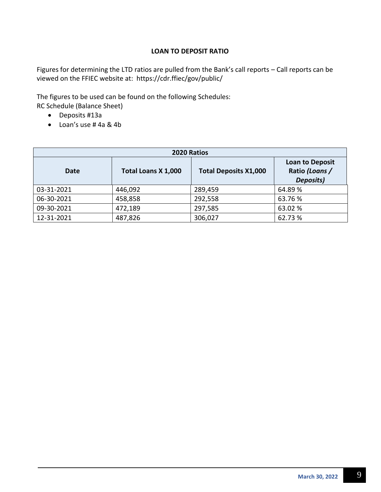#### **LOAN TO DEPOSIT RATIO**

Figures for determining the LTD ratios are pulled from the Bank's call reports – Call reports can be viewed on the FFIEC website at: https://cdr.ffiec/gov/public/

The figures to be used can be found on the following Schedules: RC Schedule (Balance Sheet)

- Deposits #13a
- Loan's use # 4a & 4b

| 2020 Ratios |                     |                              |                                                       |  |  |
|-------------|---------------------|------------------------------|-------------------------------------------------------|--|--|
| Date        | Total Loans X 1,000 | <b>Total Deposits X1,000</b> | <b>Loan to Deposit</b><br>Ratio (Loans /<br>Deposits) |  |  |
| 03-31-2021  | 446,092             | 289,459                      | 64.89%                                                |  |  |
| 06-30-2021  | 458,858             | 292,558                      | 63.76%                                                |  |  |
| 09-30-2021  | 472,189             | 297,585                      | 63.02 %                                               |  |  |
| 12-31-2021  | 487,826             | 306,027                      | 62.73%                                                |  |  |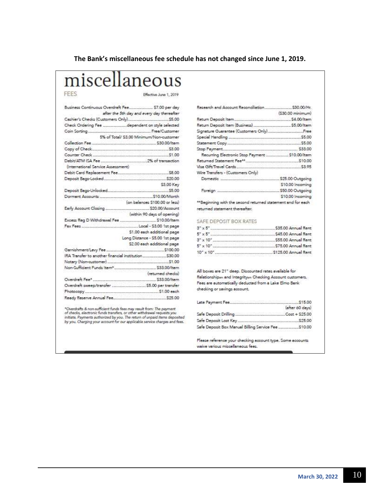#### **The Bank's miscellaneous fee schedule has not changed since June 1, 2019.**

# miscellaneous

#### FEES

Effective June 1, 2019

|                                                                           | Business Continuous Overdraft Fee \$7.00 per day |
|---------------------------------------------------------------------------|--------------------------------------------------|
|                                                                           | after the 5th day and every day thereafter       |
|                                                                           |                                                  |
|                                                                           |                                                  |
|                                                                           |                                                  |
|                                                                           | 5% of Total/ \$3.00 Minimum/Non-customer         |
|                                                                           |                                                  |
|                                                                           |                                                  |
|                                                                           |                                                  |
|                                                                           |                                                  |
| (International Service Assessment)                                        |                                                  |
|                                                                           |                                                  |
|                                                                           |                                                  |
|                                                                           | \$3.00 Key                                       |
|                                                                           |                                                  |
| S10.00/Month (on belances \$10.00/Month<br>(on belances \$100.00 or less) |                                                  |
|                                                                           |                                                  |
|                                                                           |                                                  |
|                                                                           |                                                  |
|                                                                           |                                                  |
|                                                                           |                                                  |
|                                                                           | \$1.00 each additional page                      |
|                                                                           | Long Distance - \$5.00 1st page                  |
|                                                                           | \$2.00 each additional page                      |
|                                                                           |                                                  |
|                                                                           |                                                  |
|                                                                           |                                                  |
|                                                                           |                                                  |
|                                                                           |                                                  |
|                                                                           |                                                  |
|                                                                           |                                                  |
|                                                                           |                                                  |
|                                                                           |                                                  |

\*Overdrafts & non-sufficient funds fees may result from: The payment<br>of checks, electronic funds transfers, or other withdrawal requests you<br>initiate. Payments authorized by you. The return of unpaid items deposited<br>by you

|                                                             | $(530.00\,$ minimum) |
|-------------------------------------------------------------|----------------------|
|                                                             |                      |
|                                                             |                      |
|                                                             |                      |
|                                                             |                      |
|                                                             |                      |
|                                                             |                      |
| Recurring Electronic Stop Peyment  \$10.00/Item             |                      |
|                                                             |                      |
|                                                             |                      |
| Wire Trensfers - (Customers Only)                           |                      |
|                                                             |                      |
|                                                             | \$10.00 Incoming     |
|                                                             |                      |
|                                                             | \$10.00 Incoming     |
| **Beginning with the second returned statement and for each |                      |
| returned statement thereafter.                              |                      |

SAFE DEPOSIT BOX RATES

| $3'' \times 5''$ .              | \$35.00 Annual Rent  |
|---------------------------------|----------------------|
| $5'' \times 5''$                | .\$45.00 Annual Rent |
| $3'' \times 10''$               | \$55.00 Annual Rent  |
| $5^{\circ} \times 10^{\circ}$ . | .\$75.00 Annual Rent |
| $10'' \times 10''$              | \$125.00 Annual Rent |

All boxes are 21" deep. Discounted rates available for Relationshipm and Integritym Checking Account customers. Fees are automatically deducted from a Lake Elmo Bank checking or sevings account.

|                                               | (after 60 days) |
|-----------------------------------------------|-----------------|
|                                               |                 |
|                                               |                 |
| Safe Deposit Box Manual Billing Service Fee . | \$10.00         |

Please reference your checking account type. Some accounts waive various miscellaneous fees.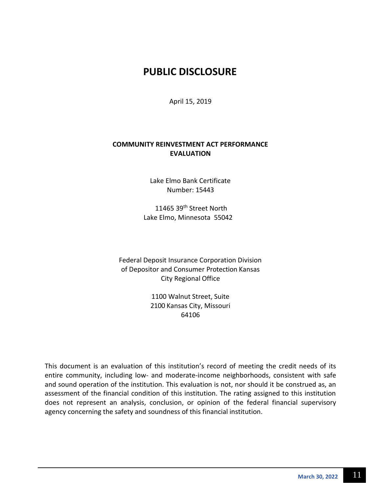### **PUBLIC DISCLOSURE**

April 15, 2019

#### **COMMUNITY REINVESTMENT ACT PERFORMANCE EVALUATION**

Lake Elmo Bank Certificate Number: 15443

11465 39<sup>th</sup> Street North Lake Elmo, Minnesota 55042

Federal Deposit Insurance Corporation Division of Depositor and Consumer Protection Kansas City Regional Office

> 1100 Walnut Street, Suite 2100 Kansas City, Missouri 64106

This document is an evaluation of this institution's record of meeting the credit needs of its entire community, including low- and moderate-income neighborhoods, consistent with safe and sound operation of the institution. This evaluation is not, nor should it be construed as, an assessment of the financial condition of this institution. The rating assigned to this institution does not represent an analysis, conclusion, or opinion of the federal financial supervisory agency concerning the safety and soundness of this financial institution.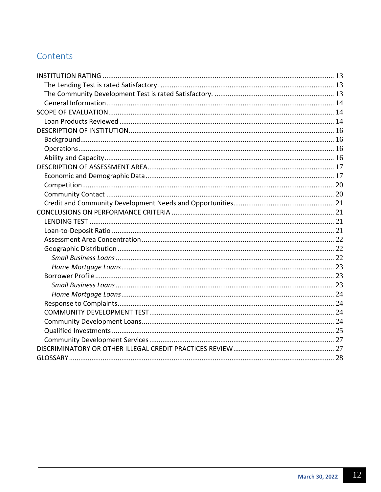## Contents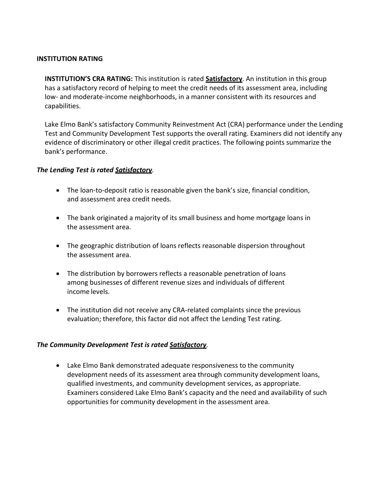#### <span id="page-12-0"></span>**INSTITUTION RATING**

**INSTITUTION'S CRA RATING:** This institution is rated **Satisfactory**. An institution in this group has a satisfactory record of helping to meet the credit needs of its assessment area, including low- and moderate-income neighborhoods, in a manner consistent with its resources and capabilities.

Lake Elmo Bank's satisfactory Community Reinvestment Act (CRA) performance under the Lending Test and Community Development Test supports the overall rating. Examiners did not identify any evidence of discriminatory or other illegal credit practices. The following points summarize the bank's performance.

#### <span id="page-12-1"></span>*The Lending Test is rated Satisfactory.*

- The loan-to-deposit ratio is reasonable given the bank's size, financial condition, and assessment area credit needs.
- The bank originated a majority of its small business and home mortgage loans in the assessment area.
- The geographic distribution of loans reflects reasonable dispersion throughout the assessment area.
- The distribution by borrowers reflects a reasonable penetration of loans among businesses of different revenue sizes and individuals of different income levels.
- The institution did not receive any CRA-related complaints since the previous evaluation; therefore, this factor did not affect the Lending Test rating.

#### <span id="page-12-2"></span>*The Community Development Test is rated Satisfactory.*

• Lake Elmo Bank demonstrated adequate responsiveness to the community development needs of its assessment area through community development loans, qualified investments, and community development services, as appropriate. Examiners considered Lake Elmo Bank's capacity and the need and availability of such opportunities for community development in the assessment area.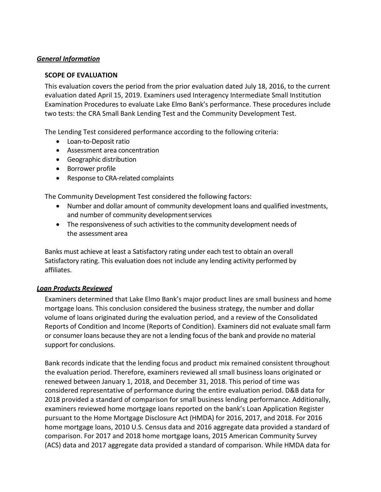#### <span id="page-13-1"></span><span id="page-13-0"></span>*General Information*

#### **SCOPE OF EVALUATION**

This evaluation covers the period from the prior evaluation dated July 18, 2016, to the current evaluation dated April 15, 2019. Examiners used Interagency Intermediate Small Institution Examination Procedures to evaluate Lake Elmo Bank's performance. These procedures include two tests: the CRA Small Bank Lending Test and the Community Development Test.

The Lending Test considered performance according to the following criteria:

- Loan-to-Deposit ratio
- Assessment area concentration
- Geographic distribution
- Borrower profile
- Response to CRA-related complaints

The Community Development Test considered the following factors:

- Number and dollar amount of community development loans and qualified investments, and number of community development services
- The responsiveness of such activities to the community development needs of the assessment area

Banks must achieve at least a Satisfactory rating under each test to obtain an overall Satisfactory rating. This evaluation does not include any lending activity performed by affiliates.

#### <span id="page-13-2"></span>*Loan Products Reviewed*

Examiners determined that Lake Elmo Bank's major product lines are small business and home mortgage loans. This conclusion considered the business strategy, the number and dollar volume of loans originated during the evaluation period, and a review of the Consolidated Reports of Condition and Income (Reports of Condition). Examiners did not evaluate small farm or consumer loans because they are not a lending focus of the bank and provide no material support for conclusions.

Bank records indicate that the lending focus and product mix remained consistent throughout the evaluation period. Therefore, examiners reviewed all small business loans originated or renewed between January 1, 2018, and December 31, 2018. This period of time was considered representative of performance during the entire evaluation period. D&B data for 2018 provided a standard of comparison for small business lending performance. Additionally, examiners reviewed home mortgage loans reported on the bank's Loan Application Register pursuant to the Home Mortgage Disclosure Act (HMDA) for 2016, 2017, and 2018. For 2016 home mortgage loans, 2010 U.S. Census data and 2016 aggregate data provided a standard of comparison. For 2017 and 2018 home mortgage loans, 2015 American Community Survey (ACS) data and 2017 aggregate data provided a standard of comparison. While HMDA data for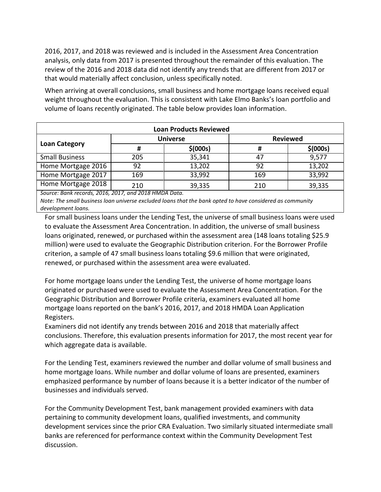2016, 2017, and 2018 was reviewed and is included in the Assessment Area Concentration analysis, only data from 2017 is presented throughout the remainder of this evaluation. The review of the 2016 and 2018 data did not identify any trends that are different from 2017 or that would materially affect conclusion, unless specifically noted.

When arriving at overall conclusions, small business and home mortgage loans received equal weight throughout the evaluation. This is consistent with Lake Elmo Banks's loan portfolio and volume of loans recently originated. The table below provides loan information.

| <b>Loan Products Reviewed</b> |     |                 |                 |           |  |  |  |
|-------------------------------|-----|-----------------|-----------------|-----------|--|--|--|
|                               |     | <b>Universe</b> | <b>Reviewed</b> |           |  |  |  |
| <b>Loan Category</b>          |     | \$ (000s)       | Ħ               | \$ (000s) |  |  |  |
| <b>Small Business</b>         | 205 | 35,341          | 47              | 9,577     |  |  |  |
| Home Mortgage 2016            | 92  | 13,202          | 92              | 13,202    |  |  |  |
| Home Mortgage 2017            | 169 | 33,992          | 169             | 33,992    |  |  |  |
| Home Mortgage 2018            | 210 | 39,335          | 210             | 39,335    |  |  |  |

*Source: Bank records, 2016, 2017, and 2018 HMDA Data.*

*Note: The small business loan universe excluded loans that the bank opted to have considered as community development loans.*

For small business loans under the Lending Test, the universe of small business loans were used to evaluate the Assessment Area Concentration. In addition, the universe of small business loans originated, renewed, or purchased within the assessment area (148 loans totaling \$25.9 million) were used to evaluate the Geographic Distribution criterion. For the Borrower Profile criterion, a sample of 47 small business loans totaling \$9.6 million that were originated, renewed, or purchased within the assessment area were evaluated.

For home mortgage loans under the Lending Test, the universe of home mortgage loans originated or purchased were used to evaluate the Assessment Area Concentration. For the Geographic Distribution and Borrower Profile criteria, examiners evaluated all home mortgage loans reported on the bank's 2016, 2017, and 2018 HMDA Loan Application Registers.

Examiners did not identify any trends between 2016 and 2018 that materially affect conclusions. Therefore, this evaluation presents information for 2017, the most recent year for which aggregate data is available.

For the Lending Test, examiners reviewed the number and dollar volume of small business and home mortgage loans. While number and dollar volume of loans are presented, examiners emphasized performance by number of loans because it is a better indicator of the number of businesses and individuals served.

For the Community Development Test, bank management provided examiners with data pertaining to community development loans, qualified investments, and community development services since the prior CRA Evaluation. Two similarly situated intermediate small banks are referenced for performance context within the Community Development Test discussion.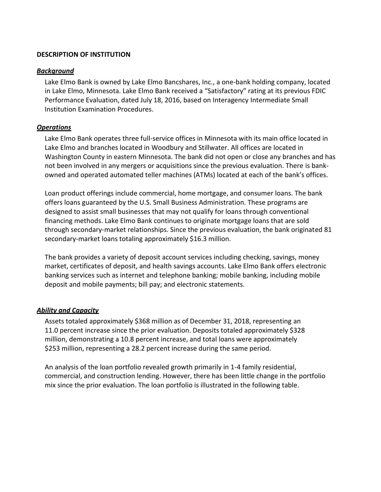#### <span id="page-15-0"></span>**DESCRIPTION OF INSTITUTION**

#### <span id="page-15-1"></span>*Background*

Lake Elmo Bank is owned by Lake Elmo Bancshares, Inc., a one-bank holding company, located in Lake Elmo, Minnesota. Lake Elmo Bank received a "Satisfactory" rating at its previous FDIC Performance Evaluation, dated July 18, 2016, based on Interagency Intermediate Small Institution Examination Procedures.

#### <span id="page-15-2"></span>*Operations*

Lake Elmo Bank operates three full-service offices in Minnesota with its main office located in Lake Elmo and branches located in Woodbury and Stillwater. All offices are located in Washington County in eastern Minnesota. The bank did not open or close any branches and has not been involved in any mergers or acquisitions since the previous evaluation. There is bankowned and operated automated teller machines (ATMs) located at each of the bank's offices.

Loan product offerings include commercial, home mortgage, and consumer loans. The bank offers loans guaranteed by the U.S. Small Business Administration. These programs are designed to assist small businesses that may not qualify for loans through conventional financing methods. Lake Elmo Bank continues to originate mortgage loans that are sold through secondary-market relationships. Since the previous evaluation, the bank originated 81 secondary-market loans totaling approximately \$16.3 million.

The bank provides a variety of deposit account services including checking, savings, money market, certificates of deposit, and health savings accounts. Lake Elmo Bank offers electronic banking services such as internet and telephone banking; mobile banking, including mobile deposit and mobile payments; bill pay; and electronic statements.

#### <span id="page-15-3"></span>*Ability and Capacity*

Assets totaled approximately \$368 million as of December 31, 2018, representing an 11.0 percent increase since the prior evaluation. Deposits totaled approximately \$328 million, demonstrating a 10.8 percent increase, and total loans were approximately \$253 million, representing a 28.2 percent increase during the same period.

An analysis of the loan portfolio revealed growth primarily in 1-4 family residential, commercial, and construction lending. However, there has been little change in the portfolio mix since the prior evaluation. The loan portfolio is illustrated in the following table.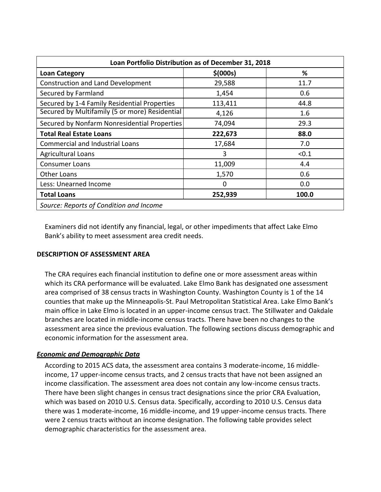| Loan Portfolio Distribution as of December 31, 2018 |           |       |  |  |  |  |  |
|-----------------------------------------------------|-----------|-------|--|--|--|--|--|
| <b>Loan Category</b>                                | \$ (000s) | %     |  |  |  |  |  |
| <b>Construction and Land Development</b>            | 29,588    | 11.7  |  |  |  |  |  |
| Secured by Farmland                                 | 1,454     | 0.6   |  |  |  |  |  |
| Secured by 1-4 Family Residential Properties        | 113,411   | 44.8  |  |  |  |  |  |
| Secured by Multifamily (5 or more) Residential      | 4,126     | 1.6   |  |  |  |  |  |
| Secured by Nonfarm Nonresidential Properties        | 74,094    | 29.3  |  |  |  |  |  |
| <b>Total Real Estate Loans</b>                      | 222,673   | 88.0  |  |  |  |  |  |
| <b>Commercial and Industrial Loans</b>              | 17,684    | 7.0   |  |  |  |  |  |
| <b>Agricultural Loans</b>                           | 3         | < 0.1 |  |  |  |  |  |
| <b>Consumer Loans</b>                               | 11,009    | 4.4   |  |  |  |  |  |
| <b>Other Loans</b>                                  | 1,570     | 0.6   |  |  |  |  |  |
| Less: Unearned Income                               | $\Omega$  | 0.0   |  |  |  |  |  |
| <b>Total Loans</b>                                  | 252,939   | 100.0 |  |  |  |  |  |
| Source: Reports of Condition and Income             |           |       |  |  |  |  |  |

Examiners did not identify any financial, legal, or other impediments that affect Lake Elmo Bank's ability to meet assessment area credit needs.

#### <span id="page-16-0"></span>**DESCRIPTION OF ASSESSMENT AREA**

The CRA requires each financial institution to define one or more assessment areas within which its CRA performance will be evaluated. Lake Elmo Bank has designated one assessment area comprised of 38 census tracts in Washington County. Washington County is 1 of the 14 counties that make up the Minneapolis-St. Paul Metropolitan Statistical Area. Lake Elmo Bank's main office in Lake Elmo is located in an upper-income census tract. The Stillwater and Oakdale branches are located in middle-income census tracts. There have been no changes to the assessment area since the previous evaluation. The following sections discuss demographic and economic information for the assessment area.

#### <span id="page-16-1"></span>*Economic and Demographic Data*

According to 2015 ACS data, the assessment area contains 3 moderate-income, 16 middleincome, 17 upper-income census tracts, and 2 census tracts that have not been assigned an income classification. The assessment area does not contain any low-income census tracts. There have been slight changes in census tract designations since the prior CRA Evaluation, which was based on 2010 U.S. Census data. Specifically, according to 2010 U.S. Census data there was 1 moderate-income, 16 middle-income, and 19 upper-income census tracts. There were 2 census tracts without an income designation. The following table provides select demographic characteristics for the assessment area.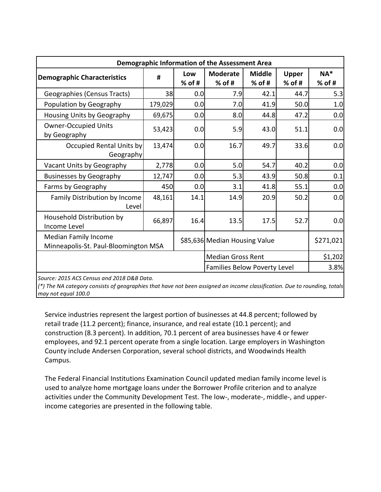| <b>Demographic Information of the Assessment Area</b>               |                          |                 |                               |                           |                          |                    |  |  |
|---------------------------------------------------------------------|--------------------------|-----------------|-------------------------------|---------------------------|--------------------------|--------------------|--|--|
| <b>Demographic Characteristics</b>                                  | #                        | Low<br>$%$ of # | <b>Moderate</b><br>$%$ of #   | <b>Middle</b><br>$%$ of # | <b>Upper</b><br>$%$ of # | $NA^*$<br>$%$ of # |  |  |
| Geographies (Census Tracts)                                         | 38                       | 0.0             | 7.9                           | 42.1                      | 44.7                     | 5.3                |  |  |
| Population by Geography                                             | 179,029                  | 0.0             | 7.0                           | 41.9                      | 50.0                     | 1.0                |  |  |
| Housing Units by Geography                                          | 69,675                   | 0.0             | 8.0                           | 44.8                      | 47.2                     | 0.0                |  |  |
| <b>Owner-Occupied Units</b><br>by Geography                         | 53,423                   | 0.0             | 5.9                           | 43.0                      | 51.1                     | 0.0                |  |  |
| Occupied Rental Units by<br>Geography                               | 13,474                   | 0.0             | 16.7                          | 49.7                      | 33.6                     | 0.0                |  |  |
| Vacant Units by Geography                                           | 2,778                    | 0.0             | 5.0                           | 54.7                      | 40.2                     | 0.0                |  |  |
| <b>Businesses by Geography</b>                                      | 12,747                   | 0.0             | 5.3                           | 43.9                      | 50.8                     | 0.1                |  |  |
| Farms by Geography                                                  | 450                      | 0.0             | 3.1                           | 41.8                      | 55.1                     | 0.0                |  |  |
| Family Distribution by Income<br>Level                              | 48,161                   | 14.1            | 14.9                          | 20.9                      | 50.2                     | 0.0                |  |  |
| Household Distribution by<br>Income Level                           | 66,897                   | 16.4            | 13.5                          | 17.5                      | 52.7                     | 0.0                |  |  |
| <b>Median Family Income</b><br>Minneapolis-St. Paul-Bloomington MSA |                          |                 | \$85,636 Median Housing Value |                           |                          | \$271,021          |  |  |
|                                                                     | <b>Median Gross Rent</b> |                 |                               | \$1,202                   |                          |                    |  |  |
| <b>Families Below Poverty Level</b>                                 |                          |                 |                               |                           |                          |                    |  |  |

*Source: 2015 ACS Census and 2018 D&B Data.*

*(\*) The NA category consists of geographies that have not been assigned an income classification. Due to rounding, totals may not equal 100.0*

Service industries represent the largest portion of businesses at 44.8 percent; followed by retail trade (11.2 percent); finance, insurance, and real estate (10.1 percent); and construction (8.3 percent). In addition, 70.1 percent of area businesses have 4 or fewer employees, and 92.1 percent operate from a single location. Large employers in Washington County include Andersen Corporation, several school districts, and Woodwinds Health Campus.

The Federal Financial Institutions Examination Council updated median family income level is used to analyze home mortgage loans under the Borrower Profile criterion and to analyze activities under the Community Development Test. The low-, moderate-, middle-, and upperincome categories are presented in the following table.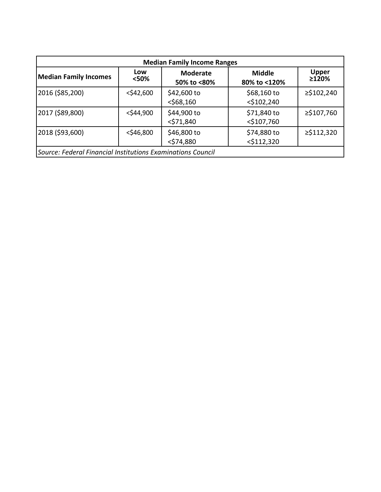| <b>Median Family Income Ranges</b>                          |              |                                |                               |                       |  |  |  |
|-------------------------------------------------------------|--------------|--------------------------------|-------------------------------|-----------------------|--|--|--|
| <b>Median Family Incomes</b>                                | Low<br><50%  | <b>Moderate</b><br>50% to <80% | <b>Middle</b><br>80% to <120% | <b>Upper</b><br>≥120% |  |  |  |
| 2016 (\$85,200)                                             | $<$ \$42,600 | \$42,600 to<br>$<$ \$68,160    | \$68,160 to<br>$<$ \$102,240  | ≥\$102,240            |  |  |  |
| 2017 (\$89,800)                                             | $<$ \$44,900 | \$44,900 to<br>$<$ \$71,840    | \$71,840 to<br>$<$ \$107,760  | ≥\$107,760            |  |  |  |
| 2018 (\$93,600)                                             | $<$ \$46,800 | \$46,800 to<br>$<$ \$74,880    | \$74,880 to<br>$<$ \$112,320  | ≥\$112,320            |  |  |  |
| Source: Federal Financial Institutions Examinations Council |              |                                |                               |                       |  |  |  |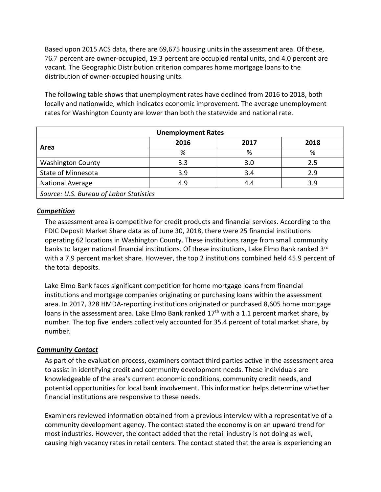Based upon 2015 ACS data, there are 69,675 housing units in the assessment area. Of these, 76.7 percent are owner-occupied, 19.3 percent are occupied rental units, and 4.0 percent are vacant. The Geographic Distribution criterion compares home mortgage loans to the distribution of owner-occupied housing units.

The following table shows that unemployment rates have declined from 2016 to 2018, both locally and nationwide, which indicates economic improvement. The average unemployment rates for Washington County are lower than both the statewide and national rate.

| <b>Unemployment Rates</b>               |      |      |      |  |  |  |
|-----------------------------------------|------|------|------|--|--|--|
| Area                                    | 2016 | 2017 | 2018 |  |  |  |
|                                         | %    | %    | %    |  |  |  |
| <b>Washington County</b>                | 3.3  | 3.0  | 2.5  |  |  |  |
| State of Minnesota                      | 3.9  | 3.4  | 2.9  |  |  |  |
| <b>National Average</b>                 | 4.9  | 4.4  | 3.9  |  |  |  |
| Source: U.S. Bureau of Labor Statistics |      |      |      |  |  |  |

#### <span id="page-19-0"></span>*Competition*

The assessment area is competitive for credit products and financial services. According to the FDIC Deposit Market Share data as of June 30, 2018, there were 25 financial institutions operating 62 locations in Washington County. These institutions range from small community banks to larger national financial institutions. Of these institutions, Lake Elmo Bank ranked 3<sup>rd</sup> with a 7.9 percent market share. However, the top 2 institutions combined held 45.9 percent of the total deposits.

Lake Elmo Bank faces significant competition for home mortgage loans from financial institutions and mortgage companies originating or purchasing loans within the assessment area. In 2017, 328 HMDA-reporting institutions originated or purchased 8,605 home mortgage loans in the assessment area. Lake Elmo Bank ranked  $17<sup>th</sup>$  with a 1.1 percent market share, by number. The top five lenders collectively accounted for 35.4 percent of total market share, by number.

#### <span id="page-19-1"></span>*Community Contact*

As part of the evaluation process, examiners contact third parties active in the assessment area to assist in identifying credit and community development needs. These individuals are knowledgeable of the area's current economic conditions, community credit needs, and potential opportunities for local bank involvement. This information helps determine whether financial institutions are responsive to these needs.

Examiners reviewed information obtained from a previous interview with a representative of a community development agency. The contact stated the economy is on an upward trend for most industries. However, the contact added that the retail industry is not doing as well, causing high vacancy rates in retail centers. The contact stated that the area is experiencing an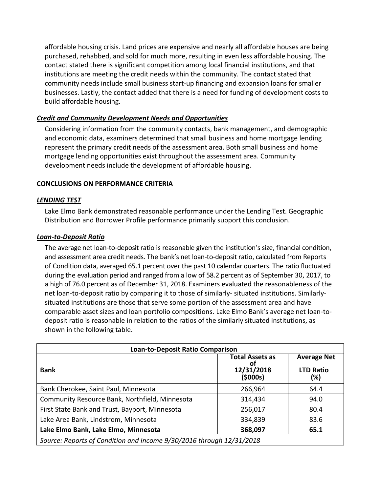affordable housing crisis. Land prices are expensive and nearly all affordable houses are being purchased, rehabbed, and sold for much more, resulting in even less affordable housing. The contact stated there is significant competition among local financial institutions, and that institutions are meeting the credit needs within the community. The contact stated that community needs include small business start-up financing and expansion loans for smaller businesses. Lastly, the contact added that there is a need for funding of development costs to build affordable housing.

#### <span id="page-20-0"></span>*Credit and Community Development Needs and Opportunities*

Considering information from the community contacts, bank management, and demographic and economic data, examiners determined that small business and home mortgage lending represent the primary credit needs of the assessment area. Both small business and home mortgage lending opportunities exist throughout the assessment area. Community development needs include the development of affordable housing.

#### <span id="page-20-1"></span>**CONCLUSIONS ON PERFORMANCE CRITERIA**

#### <span id="page-20-2"></span>*LENDING TEST*

Lake Elmo Bank demonstrated reasonable performance under the Lending Test. Geographic Distribution and Borrower Profile performance primarily support this conclusion.

#### <span id="page-20-3"></span>*Loan-to-Deposit Ratio*

The average net loan-to-deposit ratio is reasonable given the institution's size, financial condition, and assessment area credit needs. The bank's net loan-to-deposit ratio, calculated from Reports of Condition data, averaged 65.1 percent over the past 10 calendar quarters. The ratio fluctuated during the evaluation period and ranged from a low of 58.2 percent as of September 30, 2017, to a high of 76.0 percent as of December 31, 2018. Examiners evaluated the reasonableness of the net loan-to-deposit ratio by comparing it to those of similarly- situated institutions. Similarlysituated institutions are those that serve some portion of the assessment area and have comparable asset sizes and loan portfolio compositions. Lake Elmo Bank's average net loan-todeposit ratio is reasonable in relation to the ratios of the similarly situated institutions, as shown in the following table.

| <b>Loan-to-Deposit Ratio Comparison</b>                              |                                                        |                                               |  |  |  |  |
|----------------------------------------------------------------------|--------------------------------------------------------|-----------------------------------------------|--|--|--|--|
| <b>Bank</b>                                                          | <b>Total Assets as</b><br>Οl<br>12/31/2018<br>(\$000s) | <b>Average Net</b><br><b>LTD Ratio</b><br>(%) |  |  |  |  |
| Bank Cherokee, Saint Paul, Minnesota                                 | 266,964                                                | 64.4                                          |  |  |  |  |
| Community Resource Bank, Northfield, Minnesota                       | 314,434                                                | 94.0                                          |  |  |  |  |
| First State Bank and Trust, Bayport, Minnesota                       | 256,017                                                | 80.4                                          |  |  |  |  |
| Lake Area Bank, Lindstrom, Minnesota                                 | 334,839                                                | 83.6                                          |  |  |  |  |
| Lake Elmo Bank, Lake Elmo, Minnesota<br>368,097<br>65.1              |                                                        |                                               |  |  |  |  |
| Source: Reports of Condition and Income 9/30/2016 through 12/31/2018 |                                                        |                                               |  |  |  |  |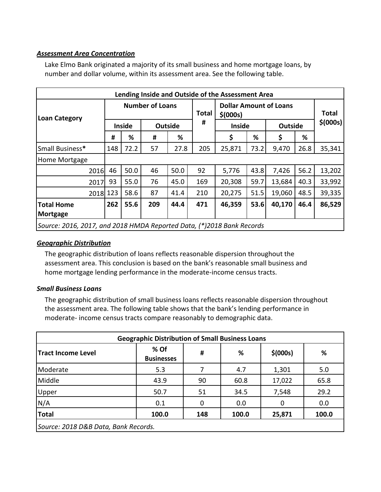#### <span id="page-21-0"></span>*Assessment Area Concentration*

Lake Elmo Bank originated a majority of its small business and home mortgage loans, by number and dollar volume, within its assessment area. See the following table.

| Lending Inside and Outside of the Assessment Area                     |                        |               |     |                |                                            |               |      |                |       |           |
|-----------------------------------------------------------------------|------------------------|---------------|-----|----------------|--------------------------------------------|---------------|------|----------------|-------|-----------|
| <b>Loan Category</b>                                                  | <b>Number of Loans</b> |               |     | <b>Total</b>   | <b>Dollar Amount of Loans</b><br>\$ (000s) |               |      |                | Total |           |
|                                                                       |                        | <b>Inside</b> |     | <b>Outside</b> | #                                          | <b>Inside</b> |      | <b>Outside</b> |       | \$ (000s) |
|                                                                       | #                      | %             | #   | %              |                                            | \$            | %    | \$             | %     |           |
| Small Business*                                                       | 148                    | 72.2          | 57  | 27.8           | 205                                        | 25,871        | 73.2 | 9,470          | 26.8  | 35,341    |
| Home Mortgage                                                         |                        |               |     |                |                                            |               |      |                |       |           |
| 2016                                                                  | 46                     | 50.0          | 46  | 50.0           | 92                                         | 5,776         | 43.8 | 7,426          | 56.2  | 13,202    |
| 2017                                                                  | 93                     | 55.0          | 76  | 45.0           | 169                                        | 20,308        | 59.7 | 13,684         | 40.3  | 33,992    |
| 2018 123                                                              |                        | 58.6          | 87  | 41.4           | 210                                        | 20,275        | 51.5 | 19,060         | 48.5  | 39,335    |
| <b>Total Home</b>                                                     | 262                    | 55.6          | 209 | 44.4           | 471                                        | 46,359        | 53.6 | 40,170         | 46.4  | 86,529    |
| Mortgage                                                              |                        |               |     |                |                                            |               |      |                |       |           |
| Source: 2016, 2017, and 2018 HMDA Reported Data, (*)2018 Bank Records |                        |               |     |                |                                            |               |      |                |       |           |

#### <span id="page-21-1"></span>*Geographic Distribution*

The geographic distribution of loans reflects reasonable dispersion throughout the assessment area. This conclusion is based on the bank's reasonable small business and home mortgage lending performance in the moderate-income census tracts.

#### <span id="page-21-2"></span>*Small Business Loans*

The geographic distribution of small business loans reflects reasonable dispersion throughout the assessment area. The following table shows that the bank's lending performance in moderate- income census tracts compare reasonably to demographic data.

| <b>Geographic Distribution of Small Business Loans</b> |                           |     |       |           |       |  |  |
|--------------------------------------------------------|---------------------------|-----|-------|-----------|-------|--|--|
| <b>Tract Income Level</b>                              | % Of<br><b>Businesses</b> | #   | %     | \$ (000s) | %     |  |  |
| Moderate                                               | 5.3                       |     | 4.7   | 1,301     | 5.0   |  |  |
| Middle                                                 | 43.9                      | 90  | 60.8  | 17,022    | 65.8  |  |  |
| Upper                                                  | 50.7                      | 51  | 34.5  | 7,548     | 29.2  |  |  |
| N/A                                                    | 0.1                       | 0   | 0.0   | 0         | 0.0   |  |  |
| <b>Total</b>                                           | 100.0                     | 148 | 100.0 | 25,871    | 100.0 |  |  |
| Source: 2018 D&B Data, Bank Records.                   |                           |     |       |           |       |  |  |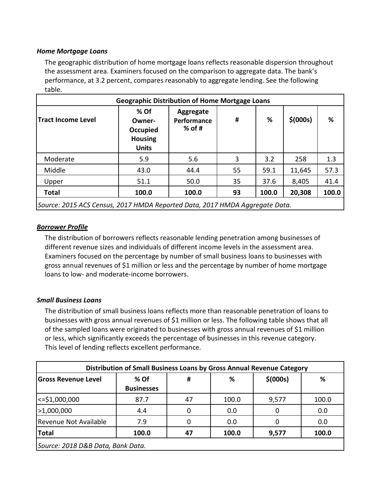#### <span id="page-22-0"></span>*Home Mortgage Loans*

The geographic distribution of home mortgage loans reflects reasonable dispersion throughout the assessment area. Examiners focused on the comparison to aggregate data. The bank's performance, at 3.2 percent, compares reasonably to aggregate lending. See the following table.

| <b>Geographic Distribution of Home Mortgage Loans</b>                       |                                                                |                                      |    |       |           |       |  |  |
|-----------------------------------------------------------------------------|----------------------------------------------------------------|--------------------------------------|----|-------|-----------|-------|--|--|
| <b>Tract Income Level</b>                                                   | $%$ Of<br>Owner-<br>Occupied<br><b>Housing</b><br><b>Units</b> | Aggregate<br>Performance<br>$%$ of # | #  | %     | \$ (000s) | %     |  |  |
| Moderate                                                                    | 5.9                                                            | 5.6                                  | 3  | 3.2   | 258       | 1.3   |  |  |
| Middle                                                                      | 43.0                                                           | 44.4                                 | 55 | 59.1  | 11,645    | 57.3  |  |  |
| Upper                                                                       | 51.1                                                           | 50.0                                 | 35 | 37.6  | 8,405     | 41.4  |  |  |
| <b>Total</b>                                                                | 100.0                                                          | 100.0                                | 93 | 100.0 | 20,308    | 100.0 |  |  |
| Source: 2015 ACS Census, 2017 HMDA Reported Data, 2017 HMDA Aggregate Data. |                                                                |                                      |    |       |           |       |  |  |

#### <span id="page-22-1"></span>*Borrower Profile*

The distribution of borrowers reflects reasonable lending penetration among businesses of different revenue sizes and individuals of different income levels in the assessment area. Examiners focused on the percentage by number of small business loans to businesses with gross annual revenues of \$1 million or less and the percentage by number of home mortgage loans to low- and moderate-income borrowers.

#### <span id="page-22-2"></span>*Small Business Loans*

The distribution of small business loans reflects more than reasonable penetration of loans to businesses with gross annual revenues of \$1 million or less. The following table shows that all of the sampled loans were originated to businesses with gross annual revenues of \$1 million or less, which significantly exceeds the percentage of businesses in this revenue category. This level of lending reflects excellent performance.

| Distribution of Small Business Loans by Gross Annual Revenue Category |                   |    |       |           |       |  |  |  |  |
|-----------------------------------------------------------------------|-------------------|----|-------|-----------|-------|--|--|--|--|
| <b>Gross Revenue Level</b>                                            | % Of              | #  | ℅     | \$ (000s) | %     |  |  |  |  |
|                                                                       | <b>Businesses</b> |    |       |           |       |  |  |  |  |
| $\le$ =\$1,000,000                                                    | 87.7              | 47 | 100.0 | 9,577     | 100.0 |  |  |  |  |
| >1,000,000                                                            | 4.4               | 0  | 0.0   | 0         | 0.0   |  |  |  |  |
| Revenue Not Available                                                 | 7.9               |    | 0.0   |           | 0.0   |  |  |  |  |
| <b>Total</b><br>100.0<br>9,577<br>100.0<br>100.0<br>47                |                   |    |       |           |       |  |  |  |  |
| Source: 2018 D&B Data, Bank Data.                                     |                   |    |       |           |       |  |  |  |  |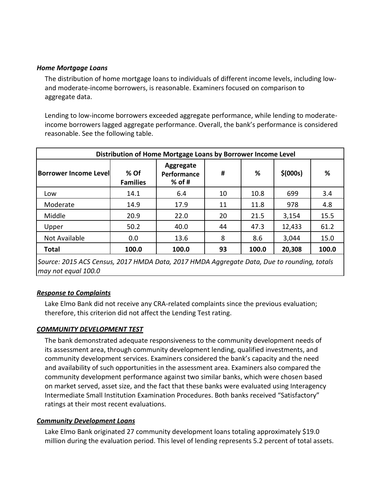#### <span id="page-23-0"></span>*Home Mortgage Loans*

The distribution of home mortgage loans to individuals of different income levels, including lowand moderate-income borrowers, is reasonable. Examiners focused on comparison to aggregate data.

Lending to low-income borrowers exceeded aggregate performance, while lending to moderateincome borrowers lagged aggregate performance. Overall, the bank's performance is considered reasonable. See the following table.

| Distribution of Home Mortgage Loans by Borrower Income Level |                         |                                      |    |       |           |       |  |  |  |
|--------------------------------------------------------------|-------------------------|--------------------------------------|----|-------|-----------|-------|--|--|--|
| <b>Borrower Income Level</b>                                 | % Of<br><b>Families</b> | Aggregate<br>Performance<br>$%$ of # | #  | ℅     | \$ (000s) | %     |  |  |  |
| Low                                                          | 14.1                    | 6.4                                  | 10 | 10.8  | 699       | 3.4   |  |  |  |
| Moderate                                                     | 14.9                    | 17.9                                 | 11 | 11.8  | 978       | 4.8   |  |  |  |
| Middle                                                       | 20.9                    | 22.0                                 | 20 | 21.5  | 3,154     | 15.5  |  |  |  |
| Upper                                                        | 50.2                    | 40.0                                 | 44 | 47.3  | 12,433    | 61.2  |  |  |  |
| Not Available                                                | 0.0                     | 13.6                                 | 8  | 8.6   | 3,044     | 15.0  |  |  |  |
| <b>Total</b>                                                 | 100.0                   | 100.0                                | 93 | 100.0 | 20,308    | 100.0 |  |  |  |

*Source: 2015 ACS Census, 2017 HMDA Data, 2017 HMDA Aggregate Data, Due to rounding, totals may not equal 100.0*

#### <span id="page-23-1"></span>*Response to Complaints*

Lake Elmo Bank did not receive any CRA-related complaints since the previous evaluation; therefore, this criterion did not affect the Lending Test rating.

#### <span id="page-23-2"></span>*COMMUNITY DEVELOPMENT TEST*

The bank demonstrated adequate responsiveness to the community development needs of its assessment area, through community development lending, qualified investments, and community development services. Examiners considered the bank's capacity and the need and availability of such opportunities in the assessment area. Examiners also compared the community development performance against two similar banks, which were chosen based on market served, asset size, and the fact that these banks were evaluated using Interagency Intermediate Small Institution Examination Procedures. Both banks received "Satisfactory" ratings at their most recent evaluations.

#### <span id="page-23-3"></span>*Community Development Loans*

Lake Elmo Bank originated 27 community development loans totaling approximately \$19.0 million during the evaluation period. This level of lending represents 5.2 percent of total assets.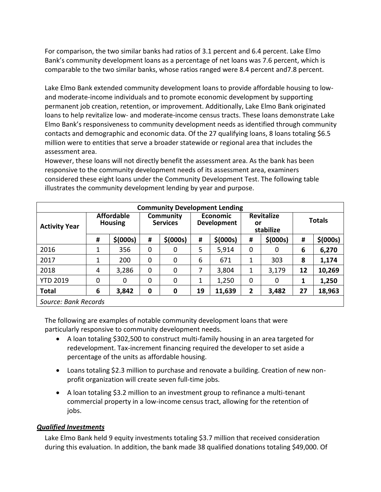For comparison, the two similar banks had ratios of 3.1 percent and 6.4 percent. Lake Elmo Bank's community development loans as a percentage of net loans was 7.6 percent, which is comparable to the two similar banks, whose ratios ranged were 8.4 percent and7.8 percent.

Lake Elmo Bank extended community development loans to provide affordable housing to lowand moderate-income individuals and to promote economic development by supporting permanent job creation, retention, or improvement. Additionally, Lake Elmo Bank originated loans to help revitalize low- and moderate-income census tracts. These loans demonstrate Lake Elmo Bank's responsiveness to community development needs as identified through community contacts and demographic and economic data. Of the 27 qualifying loans, 8 loans totaling \$6.5 million were to entities that serve a broader statewide or regional area that includes the assessment area.

However, these loans will not directly benefit the assessment area. As the bank has been responsive to the community development needs of its assessment area, examiners considered these eight loans under the Community Development Test. The following table illustrates the community development lending by year and purpose.

| <b>Community Development Lending</b> |                                     |           |                  |                              |    |                                       |   |                                      |    |               |  |
|--------------------------------------|-------------------------------------|-----------|------------------|------------------------------|----|---------------------------------------|---|--------------------------------------|----|---------------|--|
| <b>Activity Year</b>                 | <b>Affordable</b><br><b>Housing</b> |           |                  | Community<br><b>Services</b> |    | <b>Economic</b><br><b>Development</b> |   | <b>Revitalize</b><br>or<br>stabilize |    | <b>Totals</b> |  |
|                                      | #                                   | \$ (000s) | #                | \$ (000s)                    | #  | \$ (000s)                             | # | \$ (000s)                            | #  | \$ (000s)     |  |
| 2016                                 |                                     | 356       | 0                | 0                            | 5  | 5,914                                 | 0 | 0                                    | 6  | 6,270         |  |
| 2017                                 | 1                                   | 200       | 0                | 0                            | 6  | 671                                   | 1 | 303                                  | 8  | 1,174         |  |
| 2018                                 | 4                                   | 3,286     | 0                | 0                            |    | 3,804                                 | 1 | 3,179                                | 12 | 10,269        |  |
| <b>YTD 2019</b>                      | 0                                   | 0         | 0                | 0                            |    | 1,250                                 | 0 | 0                                    |    | 1,250         |  |
| <b>Total</b>                         | 6                                   | 3,842     | $\boldsymbol{0}$ | $\mathbf 0$                  | 19 | 11,639                                | 2 | 3,482                                | 27 | 18,963        |  |
| Source: Bank Records                 |                                     |           |                  |                              |    |                                       |   |                                      |    |               |  |

The following are examples of notable community development loans that were particularly responsive to community development needs.

- A loan totaling \$302,500 to construct multi-family housing in an area targeted for redevelopment. Tax-increment financing required the developer to set aside a percentage of the units as affordable housing.
- Loans totaling \$2.3 million to purchase and renovate a building. Creation of new nonprofit organization will create seven full-time jobs.
- A loan totaling \$3.2 million to an investment group to refinance a multi-tenant commercial property in a low-income census tract, allowing for the retention of jobs.

#### <span id="page-24-0"></span>*Qualified Investments*

Lake Elmo Bank held 9 equity investments totaling \$3.7 million that received consideration during this evaluation. In addition, the bank made 38 qualified donations totaling \$49,000. Of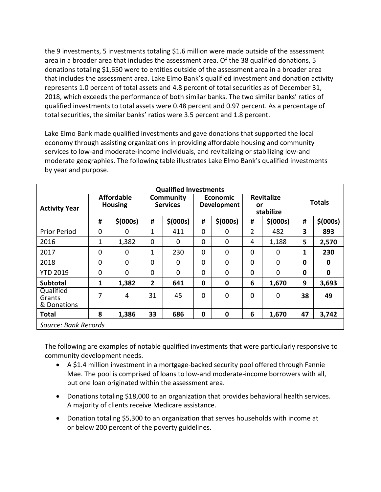the 9 investments, 5 investments totaling \$1.6 million were made outside of the assessment area in a broader area that includes the assessment area. Of the 38 qualified donations, 5 donations totaling \$1,650 were to entities outside of the assessment area in a broader area that includes the assessment area. Lake Elmo Bank's qualified investment and donation activity represents 1.0 percent of total assets and 4.8 percent of total securities as of December 31, 2018, which exceeds the performance of both similar banks. The two similar banks' ratios of qualified investments to total assets were 0.48 percent and 0.97 percent. As a percentage of total securities, the similar banks' ratios were 3.5 percent and 1.8 percent.

Lake Elmo Bank made qualified investments and gave donations that supported the local economy through assisting organizations in providing affordable housing and community services to low-and moderate-income individuals, and revitalizing or stabilizing low-and moderate geographies. The following table illustrates Lake Elmo Bank's qualified investments by year and purpose.

| <b>Qualified Investments</b>       |                                     |           |                              |             |                                       |                |                                      |                |               |           |
|------------------------------------|-------------------------------------|-----------|------------------------------|-------------|---------------------------------------|----------------|--------------------------------------|----------------|---------------|-----------|
| <b>Activity Year</b>               | <b>Affordable</b><br><b>Housing</b> |           | Community<br><b>Services</b> |             | <b>Economic</b><br><b>Development</b> |                | <b>Revitalize</b><br>or<br>stabilize |                | <b>Totals</b> |           |
|                                    | #                                   | \$ (000s) | #                            | \$ (000s)   | #                                     | \$ (000s)      | #                                    | \$ (000s)      | #             | \$ (000s) |
| <b>Prior Period</b>                | 0                                   | 0         | 1                            | 411         | $\mathbf 0$                           | 0              | $\overline{2}$                       | 482            | 3             | 893       |
| 2016                               | $\mathbf 1$                         | 1,382     | 0                            | 0           | 0                                     | $\overline{0}$ | 4                                    | 1,188          | 5             | 2,570     |
| 2017                               | 0                                   | 0         | $\mathbf 1$                  | 230         | $\mathbf 0$                           | $\overline{0}$ | 0                                    | 0              | 1             | 230       |
| 2018                               | 0                                   | 0         | $\mathbf 0$                  | $\mathbf 0$ | 0                                     | $\overline{0}$ | $\mathbf 0$                          | $\mathbf 0$    | 0             | $\bf{0}$  |
| <b>YTD 2019</b>                    | 0                                   | $\Omega$  | 0                            | $\mathbf 0$ | 0                                     | $\overline{0}$ | 0                                    | $\Omega$       | 0             | $\bf{0}$  |
| <b>Subtotal</b>                    | 1                                   | 1,382     | $\overline{2}$               | 641         | $\mathbf 0$                           | 0              | 6                                    | 1,670          | 9             | 3,693     |
| Qualified<br>Grants<br>& Donations | 7                                   | 4         | 31                           | 45          | 0                                     | $\overline{0}$ | $\mathbf 0$                          | $\overline{0}$ | 38            | 49        |
| <b>Total</b>                       | 8                                   | 1,386     | 33                           | 686         | $\mathbf 0$                           | $\bf{0}$       | 6                                    | 1,670          | 47            | 3,742     |
| Source: Bank Records               |                                     |           |                              |             |                                       |                |                                      |                |               |           |

The following are examples of notable qualified investments that were particularly responsive to community development needs.

- A \$1.4 million investment in a mortgage-backed security pool offered through Fannie Mae. The pool is comprised of loans to low-and moderate-income borrowers with all, but one loan originated within the assessment area.
- Donations totaling \$18,000 to an organization that provides behavioral health services. A majority of clients receive Medicare assistance.
- Donation totaling \$5,300 to an organization that serves households with income at or below 200 percent of the poverty guidelines.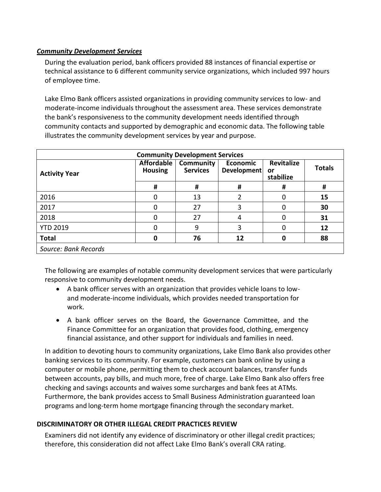#### <span id="page-26-0"></span>*Community Development Services*

During the evaluation period, bank officers provided 88 instances of financial expertise or technical assistance to 6 different community service organizations, which included 997 hours of employee time.

Lake Elmo Bank officers assisted organizations in providing community services to low- and moderate-income individuals throughout the assessment area. These services demonstrate the bank's responsiveness to the community development needs identified through community contacts and supported by demographic and economic data. The following table illustrates the community development services by year and purpose.

| <b>Community Development Services</b> |                              |                              |                                |                                      |               |  |  |  |  |
|---------------------------------------|------------------------------|------------------------------|--------------------------------|--------------------------------------|---------------|--|--|--|--|
| <b>Activity Year</b>                  | Affordable<br><b>Housing</b> | Community<br><b>Services</b> | <b>Economic</b><br>Development | <b>Revitalize</b><br>or<br>stabilize | <b>Totals</b> |  |  |  |  |
|                                       | #                            | #                            | #                              | Ħ                                    | #             |  |  |  |  |
| 2016                                  | 0                            | 13                           |                                | 0                                    | 15            |  |  |  |  |
| 2017                                  |                              | 27                           | 3                              | 0                                    | 30            |  |  |  |  |
| 2018                                  | 0                            | 27                           | 4                              | 0                                    | 31            |  |  |  |  |
| <b>YTD 2019</b>                       | 0                            | 9                            | 3                              | 0                                    | 12            |  |  |  |  |
| <b>Total</b>                          | 0                            | 76                           | 12                             | 0                                    | 88            |  |  |  |  |
| Source: Bank Records                  |                              |                              |                                |                                      |               |  |  |  |  |

The following are examples of notable community development services that were particularly responsive to community development needs.

- A bank officer serves with an organization that provides vehicle loans to lowand moderate-income individuals, which provides needed transportation for work.
- A bank officer serves on the Board, the Governance Committee, and the Finance Committee for an organization that provides food, clothing, emergency financial assistance, and other support for individuals and families in need.

In addition to devoting hours to community organizations, Lake Elmo Bank also provides other banking services to its community. For example, customers can bank online by using a computer or mobile phone, permitting them to check account balances, transfer funds between accounts, pay bills, and much more, free of charge. Lake Elmo Bank also offers free checking and savings accounts and waives some surcharges and bank fees at ATMs. Furthermore, the bank provides access to Small Business Administration guaranteed loan programs and long-term home mortgage financing through the secondary market.

#### <span id="page-26-1"></span>**DISCRIMINATORY OR OTHER ILLEGAL CREDIT PRACTICES REVIEW**

Examiners did not identify any evidence of discriminatory or other illegal credit practices; therefore, this consideration did not affect Lake Elmo Bank's overall CRA rating.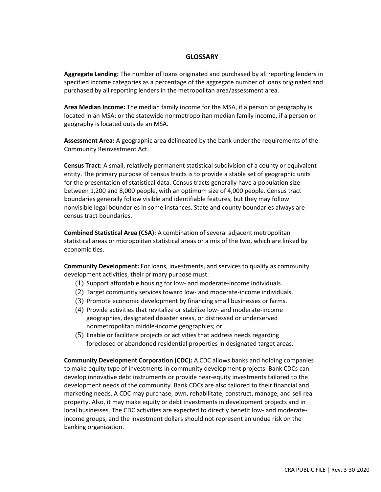#### **GLOSSARY**

<span id="page-27-0"></span>**Aggregate Lending:** The number of loans originated and purchased by all reporting lenders in specified income categories as a percentage of the aggregate number of loans originated and purchased by all reporting lenders in the metropolitan area/assessment area.

**Area Median Income:** The median family income for the MSA, if a person or geography is located in an MSA; or the statewide nonmetropolitan median family income, if a person or geography is located outside an MSA*.*

**Assessment Area:** A geographic area delineated by the bank under the requirements of the Community Reinvestment Act.

**Census Tract:** A small, relatively permanent statistical subdivision of a county or equivalent entity. The primary purpose of census tracts is to provide a stable set of geographic units for the presentation of statistical data. Census tracts generally have a population size between 1,200 and 8,000 people, with an optimum size of 4,000 people. Census tract boundaries generally follow visible and identifiable features, but they may follow nonvisible legal boundaries in some instances. State and county boundaries always are census tract boundaries.

**Combined Statistical Area (CSA):** A combination of several adjacent metropolitan statistical areas or micropolitan statistical areas or a mix of the two, which are linked by economic ties.

**Community Development:** For loans, investments, and services to qualify as community development activities, their primary purpose must:

- (1) Support affordable housing for low- and moderate-income individuals.
- (2) Target community services toward low- and moderate-income individuals.
- (3) Promote economic development by financing small businesses or farms.
- (4) Provide activities that revitalize or stabilize low- and moderate-income geographies, designated disaster areas, or distressed or underserved nonmetropolitan middle-income geographies; or
- (5) Enable or facilitate projects or activities that address needs regarding foreclosed or abandoned residential properties in designated target areas.

**Community Development Corporation (CDC):** A CDC allows banks and holding companies to make equity type of investments in community development projects. Bank CDCs can develop innovative debt instruments or provide near-equity investments tailored to the development needs of the community. Bank CDCs are also tailored to their financial and marketing needs. A CDC may purchase, own, rehabilitate, construct, manage, and sell real property. Also, it may make equity or debt investments in development projects and in local businesses. The CDC activities are expected to directly benefit low- and moderateincome groups, and the investment dollars should not represent an undue risk on the banking organization.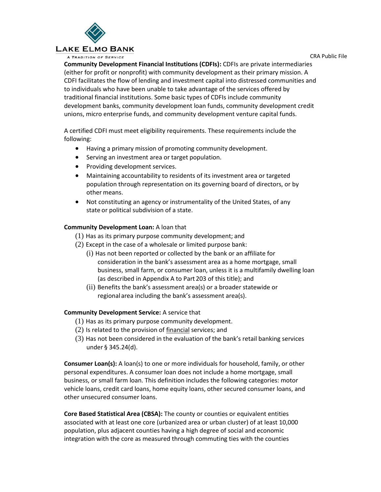

A TRADITION OF SERVICE

CRA Public File

**Community Development Financial Institutions (CDFIs):** CDFIs are private intermediaries (either for profit or nonprofit) with community development as their primary mission. A CDFI facilitates the flow of lending and investment capital into distressed communities and to individuals who have been unable to take advantage of the services offered by traditional financial institutions. Some basic types of CDFIs include community development banks, community development loan funds, community development credit unions, micro enterprise funds, and community development venture capital funds.

A certified CDFI must meet eligibility requirements. These requirements include the following:

- Having a primary mission of promoting community development.
- Serving an investment area or target population.
- Providing development services.
- Maintaining accountability to residents of its investment area or targeted population through representation on its governing board of directors, or by other means.
- Not constituting an agency or instrumentality of the United States, of any state or political subdivision of a state.

#### **Community Development Loan:** A loan that

- (1) Has as its primary purpose community development; and
- (2) Except in the case of a wholesale or limited purpose bank:
	- (i) Has not been reported or collected by the bank or an affiliate for consideration in the bank's assessment area as a home mortgage, small business, small farm, or consumer loan, unless it is a multifamily dwelling loan (as described in Appendix A to Part 203 of this title); and
	- (ii) Benefits the bank's assessment area(s) or a broader statewide or regionalarea including the bank's assessment area(s).

#### **Community Development Service:** A service that

- (1) Has as its primary purpose community development.
- (2) Is related to the provision of financial services; and
- (3) Has not been considered in the evaluation of the bank's retail banking services under § 345.24(d).

**Consumer Loan(s):** A loan(s) to one or more individuals for household, family, or other personal expenditures. A consumer loan does not include a home mortgage, small business, or small farm loan. This definition includes the following categories: motor vehicle loans, credit card loans, home equity loans, other secured consumer loans, and other unsecured consumer loans.

**Core Based Statistical Area (CBSA):** The county or counties or equivalent entities associated with at least one core (urbanized area or urban cluster) of at least 10,000 population, plus adjacent counties having a high degree of social and economic integration with the core as measured through commuting ties with the counties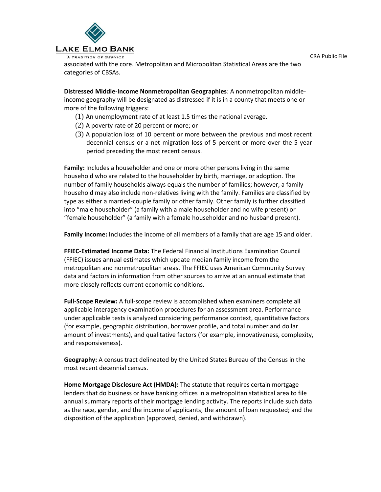



associated with the core. Metropolitan and Micropolitan Statistical Areas are the two categories of CBSAs.

**Distressed Middle-Income Nonmetropolitan Geographies**: A nonmetropolitan middleincome geography will be designated as distressed if it is in a county that meets one or more of the following triggers:

- (1) An unemployment rate of at least 1.5 times the national average.
- (2) A poverty rate of 20 percent or more; or
- (3) A population loss of 10 percent or more between the previous and most recent decennial census or a net migration loss of 5 percent or more over the 5-year period preceding the most recent census.

**Family:** Includes a householder and one or more other persons living in the same household who are related to the householder by birth, marriage, or adoption. The number of family households always equals the number of families; however, a family household may also include non-relatives living with the family. Families are classified by type as either a married-couple family or other family. Other family is further classified into "male householder" (a family with a male householder and no wife present) or "female householder" (a family with a female householder and no husband present).

**Family Income:** Includes the income of all members of a family that are age 15 and older.

**FFIEC-Estimated Income Data:** The Federal Financial Institutions Examination Council (FFIEC) issues annual estimates which update median family income from the metropolitan and nonmetropolitan areas. The FFIEC uses American Community Survey data and factors in information from other sources to arrive at an annual estimate that more closely reflects current economic conditions.

**Full-Scope Review:** A full-scope review is accomplished when examiners complete all applicable interagency examination procedures for an assessment area. Performance under applicable tests is analyzed considering performance context, quantitative factors (for example, geographic distribution, borrower profile, and total number and dollar amount of investments), and qualitative factors (for example, innovativeness, complexity, and responsiveness).

**Geography:** A census tract delineated by the United States Bureau of the Census in the most recent decennial census.

**Home Mortgage Disclosure Act (HMDA):** The statute that requires certain mortgage lenders that do business or have banking offices in a metropolitan statistical area to file annual summary reports of their mortgage lending activity. The reports include such data as the race, gender, and the income of applicants; the amount of loan requested; and the disposition of the application (approved, denied, and withdrawn).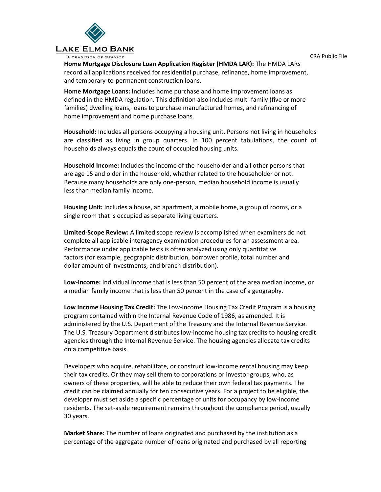CRA Public File



A TRADITION OF SERVICE

**Home Mortgage Disclosure Loan Application Register (HMDA LAR):** The HMDA LARs record all applications received for residential purchase, refinance, home improvement, and temporary-to-permanent construction loans.

**Home Mortgage Loans:** Includes home purchase and home improvement loans as defined in the HMDA regulation. This definition also includes multi-family (five or more families) dwelling loans, loans to purchase manufactured homes, and refinancing of home improvement and home purchase loans.

**Household:** Includes all persons occupying a housing unit. Persons not living in households are classified as living in group quarters. In 100 percent tabulations, the count of households always equals the count of occupied housing units.

**Household Income:** Includes the income of the householder and all other persons that are age 15 and older in the household, whether related to the householder or not. Because many households are only one-person, median household income is usually less than median family income.

**Housing Unit:** Includes a house, an apartment, a mobile home, a group of rooms, or a single room that is occupied as separate living quarters.

**Limited-Scope Review:** A limited scope review is accomplished when examiners do not complete all applicable interagency examination procedures for an assessment area. Performance under applicable tests is often analyzed using only quantitative factors (for example, geographic distribution, borrower profile, total number and dollar amount of investments, and branch distribution).

**Low-Income:** Individual income that is less than 50 percent of the area median income, or a median family income that is less than 50 percent in the case of a geography.

**Low Income Housing Tax Credit:** The Low-Income Housing Tax Credit Program is a housing program contained within the Internal Revenue Code of 1986, as amended. It is administered by the U.S. Department of the Treasury and the Internal Revenue Service. The U.S. Treasury Department distributes low-income housing tax credits to housing credit agencies through the Internal Revenue Service. The housing agencies allocate tax credits on a competitive basis.

Developers who acquire, rehabilitate, or construct low-income rental housing may keep their tax credits. Or they may sell them to corporations or investor groups, who, as owners of these properties, will be able to reduce their own federal tax payments. The credit can be claimed annually for ten consecutive years. For a project to be eligible, the developer must set aside a specific percentage of units for occupancy by low-income residents. The set-aside requirement remains throughout the compliance period, usually 30 years.

**Market Share:** The number of loans originated and purchased by the institution as a percentage of the aggregate number of loans originated and purchased by all reporting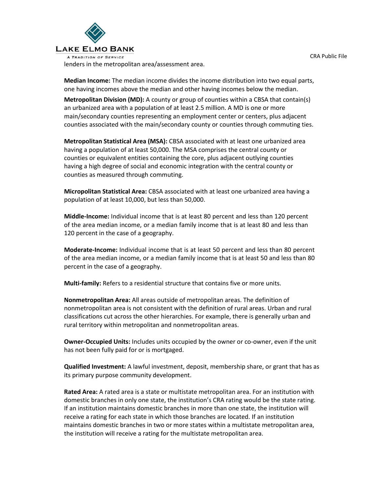

**Median Income:** The median income divides the income distribution into two equal parts, one having incomes above the median and other having incomes below the median.

**Metropolitan Division (MD):** A county or group of counties within a CBSA that contain(s) an urbanized area with a population of at least 2.5 million. A MD is one or more main/secondary counties representing an employment center or centers, plus adjacent counties associated with the main/secondary county or counties through commuting ties.

**Metropolitan Statistical Area (MSA):** CBSA associated with at least one urbanized area having a population of at least 50,000. The MSA comprises the central county or counties or equivalent entities containing the core, plus adjacent outlying counties having a high degree of social and economic integration with the central county or counties as measured through commuting.

**Micropolitan Statistical Area:** CBSA associated with at least one urbanized area having a population of at least 10,000, but less than 50,000.

**Middle-Income:** Individual income that is at least 80 percent and less than 120 percent of the area median income, or a median family income that is at least 80 and less than 120 percent in the case of a geography.

**Moderate-Income:** Individual income that is at least 50 percent and less than 80 percent of the area median income, or a median family income that is at least 50 and less than 80 percent in the case of a geography.

**Multi-family:** Refers to a residential structure that contains five or more units.

**Nonmetropolitan Area:** All areas outside of metropolitan areas. The definition of nonmetropolitan area is not consistent with the definition of rural areas. Urban and rural classifications cut across the other hierarchies. For example, there is generally urban and rural territory within metropolitan and nonmetropolitan areas.

**Owner-Occupied Units:** Includes units occupied by the owner or co-owner, even if the unit has not been fully paid for or is mortgaged.

**Qualified Investment:** A lawful investment, deposit, membership share, or grant that has as its primary purpose community development.

**Rated Area:** A rated area is a state or multistate metropolitan area. For an institution with domestic branches in only one state, the institution's CRA rating would be the state rating. If an institution maintains domestic branches in more than one state, the institution will receive a rating for each state in which those branches are located. If an institution maintains domestic branches in two or more states within a multistate metropolitan area, the institution will receive a rating for the multistate metropolitan area.